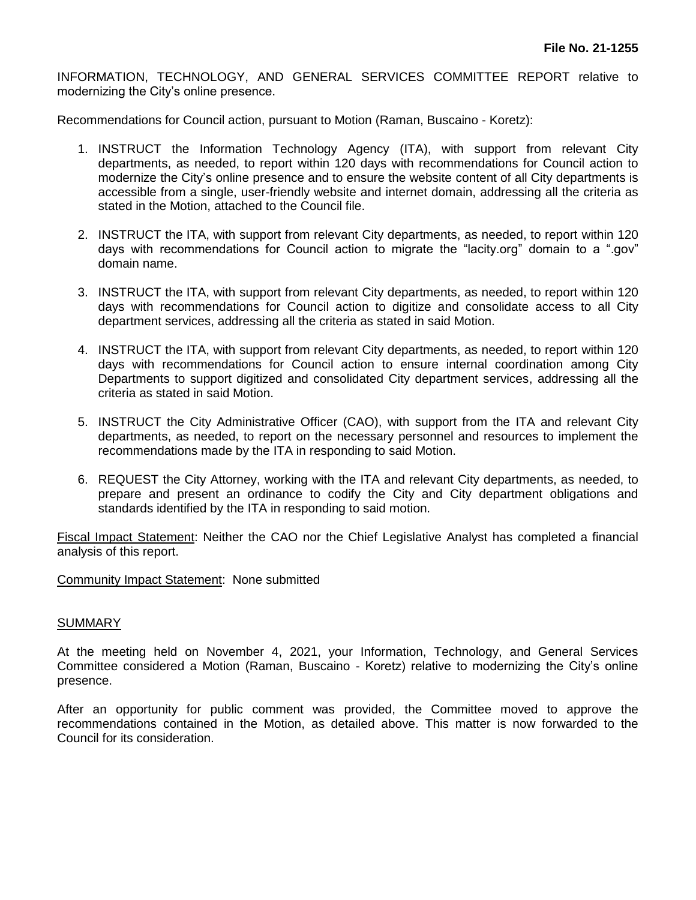INFORMATION, TECHNOLOGY, AND GENERAL SERVICES COMMITTEE REPORT relative to modernizing the City's online presence.

Recommendations for Council action, pursuant to Motion (Raman, Buscaino - Koretz):

- 1. INSTRUCT the Information Technology Agency (ITA), with support from relevant City departments, as needed, to report within 120 days with recommendations for Council action to modernize the City's online presence and to ensure the website content of all City departments is accessible from a single, user-friendly website and internet domain, addressing all the criteria as stated in the Motion, attached to the Council file.
- 2. INSTRUCT the ITA, with support from relevant City departments, as needed, to report within 120 days with recommendations for Council action to migrate the "lacity.org" domain to a ".gov" domain name.
- 3. INSTRUCT the ITA, with support from relevant City departments, as needed, to report within 120 days with recommendations for Council action to digitize and consolidate access to all City department services, addressing all the criteria as stated in said Motion.
- 4. INSTRUCT the ITA, with support from relevant City departments, as needed, to report within 120 days with recommendations for Council action to ensure internal coordination among City Departments to support digitized and consolidated City department services, addressing all the criteria as stated in said Motion.
- 5. INSTRUCT the City Administrative Officer (CAO), with support from the ITA and relevant City departments, as needed, to report on the necessary personnel and resources to implement the recommendations made by the ITA in responding to said Motion.
- 6. REQUEST the City Attorney, working with the ITA and relevant City departments, as needed, to prepare and present an ordinance to codify the City and City department obligations and standards identified by the ITA in responding to said motion.

Fiscal Impact Statement: Neither the CAO nor the Chief Legislative Analyst has completed a financial analysis of this report.

Community Impact Statement: None submitted

## **SUMMARY**

At the meeting held on November 4, 2021, your Information, Technology, and General Services Committee considered a Motion (Raman, Buscaino - Koretz) relative to modernizing the City's online presence.

After an opportunity for public comment was provided, the Committee moved to approve the recommendations contained in the Motion, as detailed above. This matter is now forwarded to the Council for its consideration.